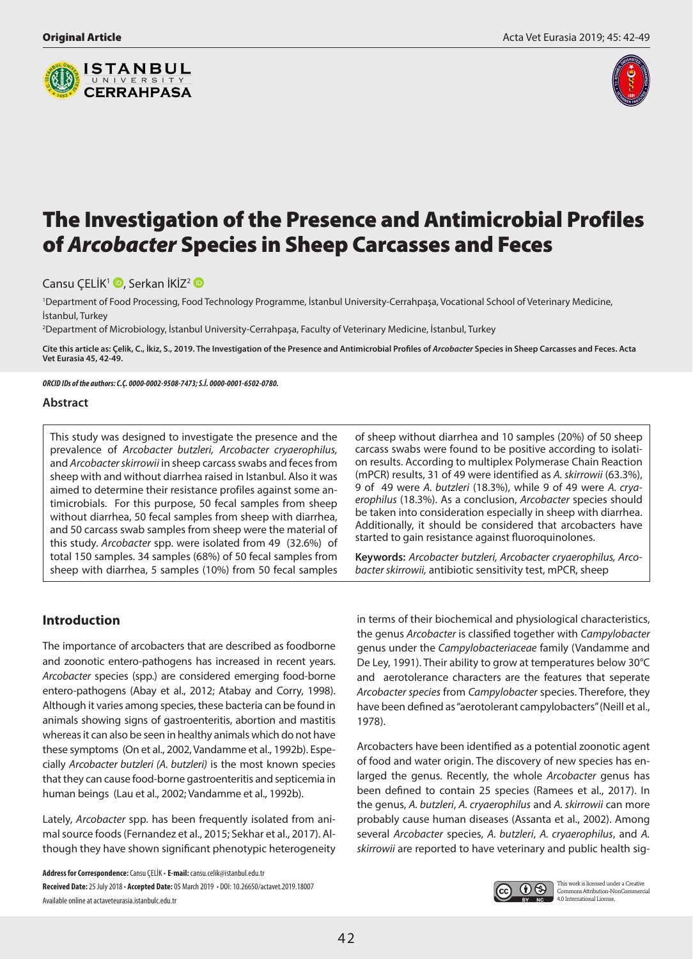



# The Investigation of the Presence and Antimicrobial Profiles of *Arcobacter* Species in Sheep Carcasses and Feces

Cansu ÇELİK<sup>1</sup> D[,](http://orcid.org/0000-0002-9508-7473) Serkan İKİZ<sup>[2](http://orcid.org/0000-0001-6502-0780)</sup> D

1 Department of Food Processing, Food Technology Programme, İstanbul University-Cerrahpaşa, Vocational School of Veterinary Medicine, İstanbul, Turkey

2 Department of Microbiology, İstanbul University-Cerrahpaşa, Faculty of Veterinary Medicine, İstanbul, Turkey

Cite this article as: Çelik, C., İkiz, S., 2019. The Investigation of the Presence and Antimicrobial Profiles of *Arcobacter* Species in Sheep Carcasses and Feces. Acta **Vet Eurasia 45, 42-49.**

*ORCID IDs of the authors: C.Ç. 0000-0002-9508-7473; S.İ. 0000-0001-6502-0780.*

#### **Abstract**

This study was designed to investigate the presence and the prevalence of *Arcobacter butzleri, Arcobacter cryaerophilus,* and *Arcobacter skirrowii* in sheep carcass swabs and feces from sheep with and without diarrhea raised in Istanbul. Also it was aimed to determine their resistance profiles against some antimicrobials. For this purpose, 50 fecal samples from sheep without diarrhea, 50 fecal samples from sheep with diarrhea, and 50 carcass swab samples from sheep were the material of this study. *Arcobacter* spp. were isolated from 49 (32.6%) of total 150 samples. 34 samples (68%) of 50 fecal samples from sheep with diarrhea, 5 samples (10%) from 50 fecal samples

of sheep without diarrhea and 10 samples (20%) of 50 sheep carcass swabs were found to be positive according to isolation results. According to multiplex Polymerase Chain Reaction (mPCR) results, 31 of 49 were identified as *A. skirrowii* (63.3%), 9 of 49 were *A. butzleri* (18.3%), while 9 of 49 were *A. cryaerophilus* (18.3%). As a conclusion, *Arcobacter* species should be taken into consideration especially in sheep with diarrhea. Additionally, it should be considered that arcobacters have started to gain resistance against fluoroquinolones.

**Keywords:** *Arcobacter butzleri, Arcobacter cryaerophilus, Arcobacter skirrowii,* antibiotic sensitivity test, mPCR, sheep

# **Introduction**

The importance of arcobacters that are described as foodborne and zoonotic entero-pathogens has increased in recent years. *Arcobacter* species (spp.) are considered emerging food-borne entero-pathogens (Abay et al., 2012; Atabay and Corry, 1998). Although it varies among species, these bacteria can be found in animals showing signs of gastroenteritis, abortion and mastitis whereas it can also be seen in healthy animals which do not have these symptoms (On et al., 2002, Vandamme et al., 1992b). Especially *Arcobacter butzleri (A. butzleri)* is the most known species that they can cause food-borne gastroenteritis and septicemia in human beings [\(Lau et al., 2002;](https://www.sciencedirect.com/science/article/pii/S0168160503003283) Vandamme et al., 1992b).

Lately, *Arcobacter* spp. has been frequently isolated from animal source foods (Fernandez et al., 2015; Sekhar et al., 2017). Although they have shown significant phenotypic heterogeneity

**Address for Correspondence:** Cansu ÇELİK • **E-mail:** cansu.celik@istanbul.edu.tr **Received Date:** 25 July 2018 • **Accepted Date:** 05 March 2019 • DOI: 10.26650/actavet.2019.18007 Available online at actaveteurasia.istanbulc.edu.tr

in terms of their biochemical and physiological characteristics, the genus *Arcobacter* is classified together with *Campylobacter* genus under the *Campylobacteriaceae* family (Vandamme and De Ley, 1991). Their ability to grow at temperatures below 30°C and aerotolerance characters are the features that seperate *Arcobacter species* from *Campylobacter* species. Therefore, they have been defined as "aerotolerant campylobacters" (Neill et al., 1978).

Arcobacters have been identified as a potential zoonotic agent of food and water origin. The discovery of new species has enlarged the genus. Recently, the whole *Arcobacter* genus has been defined to contain 25 species (Ramees et al., 2017). In the genus, *A. butzleri*, *A. cryaerophilus* and *A. skirrowii* can more probably cause human diseases (Assanta et al., 2002). Among several *Arcobacter* species, *A. butzleri*, *A. cryaerophilus*, and *A. skirrowii* are reported to have veterinary and public health sig-



This work is licensed under a Creative Commons Attribution-NonCommercial 4.0 International License.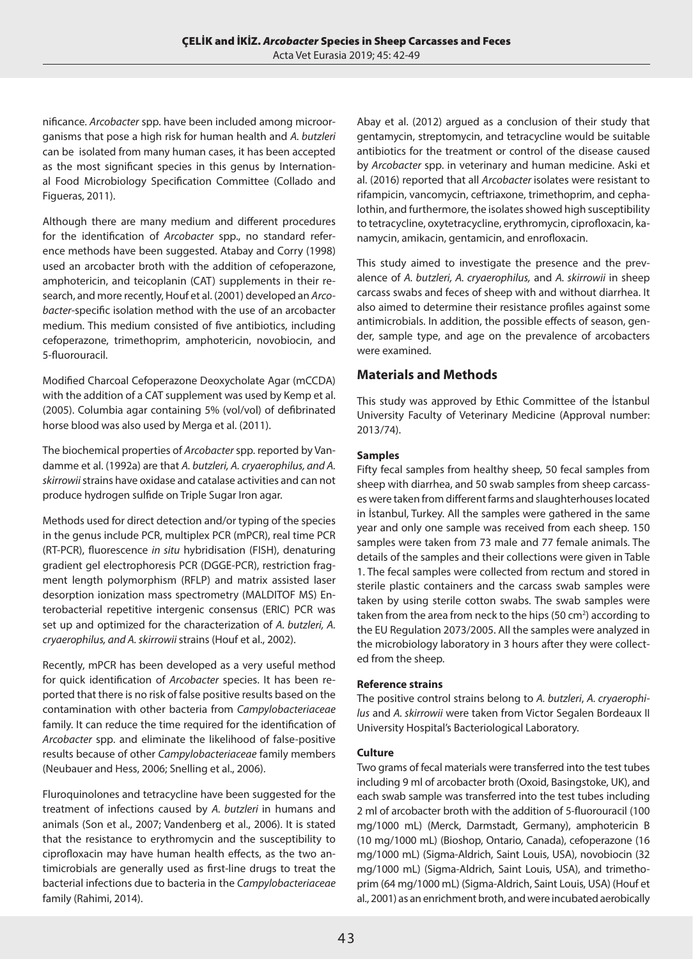nificance. *Arcobacter* spp. have been included among microorganisms that pose a high risk for human health and *A. butzleri* can be isolated from many human cases, it has been accepted as the most significant species in this genus by International Food Microbiology Specification Committee (Collado and Figueras, 2011).

Although there are many medium and different procedures for the identification of *Arcobacter* spp., no standard reference methods have been suggested. Atabay and Corry (1998) used an arcobacter broth with the addition of cefoperazone, amphotericin, and teicoplanin (CAT) supplements in their research, and more recently, Houf et al. (2001) developed an *Arcobacter*-specific isolation method with the use of an arcobacter medium. This medium consisted of five antibiotics, including cefoperazone, trimethoprim, amphotericin, novobiocin, and 5-fluorouracil.

Modified Charcoal Cefoperazone Deoxycholate Agar (mCCDA) with the addition of a CAT supplement was used by Kemp et al. (2005). Columbia agar containing 5% (vol/vol) of defibrinated horse blood was also used by Merga et al. (2011).

The biochemical properties of *Arcobacter* spp. reported by Vandamme et al. (1992a) are that *A. butzleri, A. cryaerophilus, and A. skirrowii* strains have oxidase and catalase activities and can not produce hydrogen sulfide on Triple Sugar Iron agar.

Methods used for direct detection and/or typing of the species in the genus include PCR, multiplex PCR (mPCR), real time PCR (RT-PCR), fluorescence *in situ* hybridisation (FISH), denaturing gradient gel electrophoresis PCR (DGGE-PCR), restriction fragment length polymorphism (RFLP) and matrix assisted laser desorption ionization mass spectrometry (MALDITOF MS) Enterobacterial repetitive intergenic consensus (ERIC) PCR was set up and optimized for the characterization of *A. butzleri, A. cryaerophilus, and A. skirrowii* strains (Houf et al., 2002).

Recently, mPCR has been developed as a very useful method for quick identification of *Arcobacter* species. It has been reported that there is no risk of false positive results based on the contamination with other bacteria from *Campylobacteriaceae* family. It can reduce the time required for the identification of *Arcobacter* spp. and eliminate the likelihood of false-positive results because of other *Campylobacteriaceae* family members (Neubauer and Hess, 2006; Snelling et al., 2006).

Fluroquinolones and tetracycline have been suggested for the treatment of infections caused by *A. butzleri* in humans and animals (Son et al., 2007; Vandenberg et al., 2006). It is stated that the resistance to erythromycin and the susceptibility to ciprofloxacin may have human health effects, as the two antimicrobials are generally used as first-line drugs to treat the bacterial infections due to bacteria in the *Campylobacteriaceae* family (Rahimi, 2014).

Abay et al. (2012) argued as a conclusion of their study that gentamycin, streptomycin, and tetracycline would be suitable antibiotics for the treatment or control of the disease caused by *Arcobacter* spp. in veterinary and human medicine. Aski et al. (2016) reported that all *Arcobacter* isolates were resistant to rifampicin, vancomycin, ceftriaxone, trimethoprim, and cephalothin, and furthermore, the isolates showed high susceptibility to tetracycline, oxytetracycline, erythromycin, ciprofloxacin, kanamycin, amikacin, gentamicin, and enrofloxacin.

This study aimed to investigate the presence and the prevalence of *A. butzleri, A. cryaerophilus,* and *A. skirrowii* in sheep carcass swabs and feces of sheep with and without diarrhea. It also aimed to determine their resistance profiles against some antimicrobials. In addition, the possible effects of season, gender, sample type, and age on the prevalence of arcobacters were examined.

# **Materials and Methods**

This study was approved by Ethic Committee of the İstanbul University Faculty of Veterinary Medicine (Approval number: 2013/74).

## **Samples**

Fifty fecal samples from healthy sheep, 50 fecal samples from sheep with diarrhea, and 50 swab samples from sheep carcasses were taken from different farms and slaughterhouses located in İstanbul, Turkey. All the samples were gathered in the same year and only one sample was received from each sheep. 150 samples were taken from 73 male and 77 female animals. The details of the samples and their collections were given in Table 1. The fecal samples were collected from rectum and stored in sterile plastic containers and the carcass swab samples were taken by using sterile cotton swabs. The swab samples were taken from the area from neck to the hips (50 cm<sup>2</sup>) according to the EU Regulation 2073/2005. All the samples were analyzed in the microbiology laboratory in 3 hours after they were collected from the sheep.

## **Reference strains**

The positive control strains belong to *A. butzleri*, *A. cryaerophilus* and *A. skirrowii* were taken from Victor Segalen Bordeaux II University Hospital's Bacteriological Laboratory.

## **Culture**

Two grams of fecal materials were transferred into the test tubes including 9 ml of arcobacter broth (Oxoid, Basingstoke, UK), and each swab sample was transferred into the test tubes including 2 ml of arcobacter broth with the addition of 5-fluorouracil (100 mg/1000 mL) (Merck, Darmstadt, Germany), amphotericin B (10 mg/1000 mL) (Bioshop, Ontario, Canada), cefoperazone (16 mg/1000 mL) (Sigma-Aldrich, Saint Louis, USA), novobiocin (32 mg/1000 mL) (Sigma-Aldrich, Saint Louis, USA), and trimethoprim (64 mg/1000 mL) (Sigma-Aldrich, Saint Louis, USA) (Houf et al., 2001) as an enrichment broth, and were incubated aerobically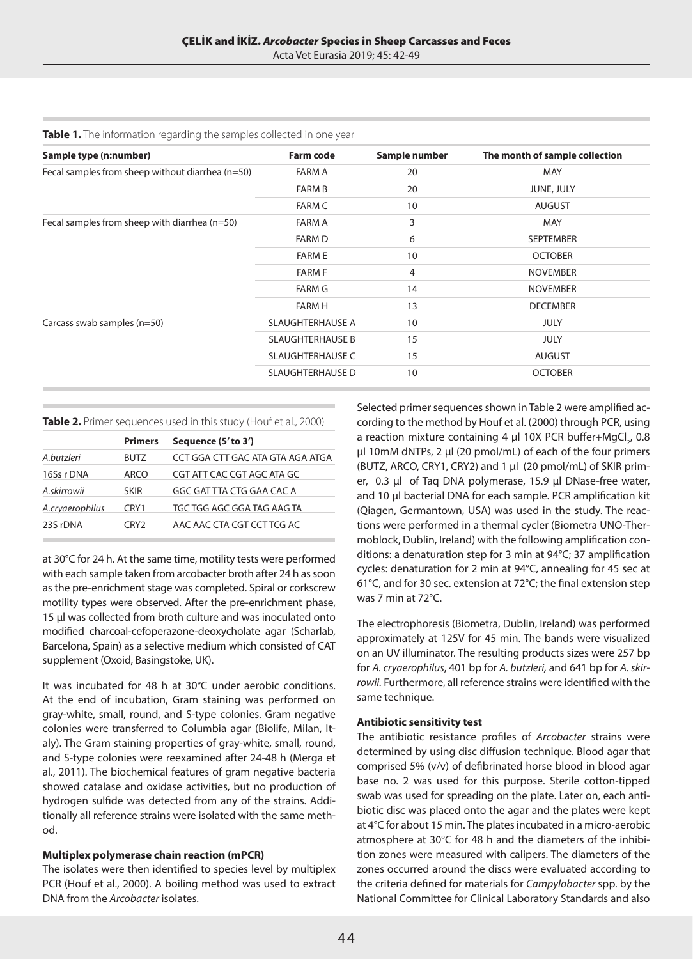Acta Vet Eurasia 2019; 45: 42-49

| Sample type (n:number)                           | <b>Farm code</b>        | Sample number | The month of sample collection |  |  |
|--------------------------------------------------|-------------------------|---------------|--------------------------------|--|--|
| Fecal samples from sheep without diarrhea (n=50) | <b>FARM A</b>           | 20            | MAY                            |  |  |
|                                                  | <b>FARM B</b>           | 20            | JUNE, JULY                     |  |  |
|                                                  | <b>FARM C</b>           | 10            | <b>AUGUST</b>                  |  |  |
| Fecal samples from sheep with diarrhea (n=50)    | FARM A                  | 3             | <b>MAY</b>                     |  |  |
|                                                  | <b>FARM D</b>           | 6             | <b>SEPTEMBER</b>               |  |  |
|                                                  | <b>FARM E</b>           | 10            | <b>OCTOBER</b>                 |  |  |
|                                                  | <b>FARM F</b>           | 4             | <b>NOVEMBER</b>                |  |  |
|                                                  | FARM G                  | 14            | <b>NOVEMBER</b>                |  |  |
|                                                  | <b>FARM H</b>           | 13            | <b>DECEMBER</b>                |  |  |
| Carcass swab samples (n=50)                      | SLAUGHTERHAUSE A        | 10            | <b>JULY</b>                    |  |  |
|                                                  | <b>SLAUGHTERHAUSE B</b> | 15            | <b>JULY</b>                    |  |  |
|                                                  | <b>SLAUGHTERHAUSE C</b> | 15            | <b>AUGUST</b>                  |  |  |
|                                                  | <b>SLAUGHTERHAUSE D</b> | 10            | <b>OCTOBER</b>                 |  |  |

**Table 1.** The information regarding the samples collected in one year

#### **Table 2.** Primer sequences used in this study (Houf et al., 2000)

|                 | <b>Primers</b>   | Sequence (5' to 3')              |
|-----------------|------------------|----------------------------------|
| A.butzleri      | <b>BUTZ</b>      | CCT GGA CTT GAC ATA GTA AGA ATGA |
| 16Ss r DNA      | <b>ARCO</b>      | CGT ATT CAC CGT AGC ATA GC       |
| A.skirrowii     | <b>SKIR</b>      | GGC GAT TTA CTG GAA CAC A        |
| A.cryaerophilus | CRY1             | TGC TGG AGC GGA TAG AAG TA       |
| 23S rDNA        | CRY <sub>2</sub> | AAC AAC CTA CGT CCT TCG AC       |

at 30°C for 24 h. At the same time, motility tests were performed with each sample taken from arcobacter broth after 24 h as soon as the pre-enrichment stage was completed. Spiral or corkscrew motility types were observed. After the pre-enrichment phase, 15 μl was collected from broth culture and was inoculated onto modified charcoal-cefoperazone-deoxycholate agar (Scharlab, Barcelona, Spain) as a selective medium which consisted of CAT supplement (Oxoid, Basingstoke, UK).

It was incubated for 48 h at 30°C under aerobic conditions. At the end of incubation, Gram staining was performed on gray-white, small, round, and S-type colonies. Gram negative colonies were transferred to Columbia agar (Biolife, Milan, Italy). The Gram staining properties of gray-white, small, round, and S-type colonies were reexamined after 24-48 h (Merga et al., 2011). The biochemical features of gram negative bacteria showed catalase and oxidase activities, but no production of hydrogen sulfide was detected from any of the strains. Additionally all reference strains were isolated with the same method.

#### **Multiplex polymerase chain reaction (mPCR)**

The isolates were then identified to species level by multiplex PCR (Houf et al., 2000). A boiling method was used to extract DNA from the *Arcobacter* isolates.

Selected primer sequences shown in Table 2 were amplified according to the method by Houf et al. (2000) through PCR, using a reaction mixture containing 4  $\mu$ l 10X PCR buffer+MgCl<sub>2</sub>, 0.8 µl 10mM dNTPs, 2 µl (20 pmol/mL) of each of the four primers (BUTZ, ARCO, CRY1, CRY2) and 1 µl (20 pmol/mL) of SKIR primer, 0.3 µl of Taq DNA polymerase, 15.9 µl DNase-free water, and 10 µl bacterial DNA for each sample. PCR amplification kit (Qiagen, Germantown, USA) was used in the study. The reactions were performed in a thermal cycler (Biometra UNO-Thermoblock, Dublin, Ireland) with the following amplification conditions: a denaturation step for 3 min at 94°C; 37 amplification cycles: denaturation for 2 min at 94°C, annealing for 45 sec at 61°C, and for 30 sec. extension at 72°C; the final extension step was 7 min at 72°C.

The electrophoresis (Biometra, Dublin, Ireland) was performed approximately at 125V for 45 min. The bands were visualized on an UV illuminator. The resulting products sizes were 257 bp for *A. cryaerophilus*, 401 bp for *A. butzleri,* and 641 bp for *A. skirrowii.* Furthermore, all reference strains were identified with the same technique.

#### **Antibiotic sensitivity test**

The antibiotic resistance profiles of *Arcobacter* strains were determined by using disc diffusion technique. Blood agar that comprised 5% (v/v) of defibrinated horse blood in blood agar base no. 2 was used for this purpose. Sterile cotton-tipped swab was used for spreading on the plate. Later on, each antibiotic disc was placed onto the agar and the plates were kept at 4°C for about 15 min. The plates incubated in a micro-aerobic atmosphere at 30°C for 48 h and the diameters of the inhibition zones were measured with calipers. The diameters of the zones occurred around the discs were evaluated according to the criteria defined for materials for *Campylobacter* spp. by the National Committee for Clinical Laboratory Standards and also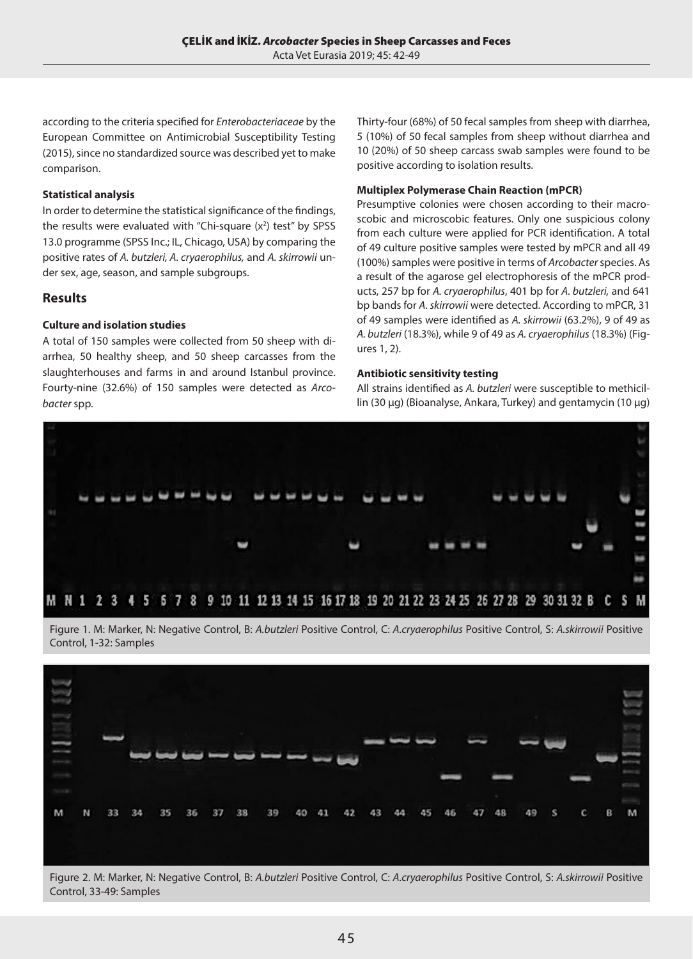according to the criteria specified for *Enterobacteriaceae* by the European Committee on Antimicrobial Susceptibility Testing (2015), since no standardized source was described yet to make comparison.

#### **Statistical analysis**

In order to determine the statistical significance of the findings, the results were evaluated with "Chi-square  $(x^2)$  test" by SPSS 13.0 programme (SPSS Inc.; IL, Chicago, USA) by comparing the positive rates of *A. butzleri, A. cryaerophilus,* and *A. skirrowii* under sex, age, season, and sample subgroups.

# **Results**

### **Culture and isolation studies**

A total of 150 samples were collected from 50 sheep with diarrhea, 50 healthy sheep, and 50 sheep carcasses from the slaughterhouses and farms in and around Istanbul province. Fourty-nine (32.6%) of 150 samples were detected as *Arcobacter* spp.

Thirty-four (68%) of 50 fecal samples from sheep with diarrhea, 5 (10%) of 50 fecal samples from sheep without diarrhea and 10 (20%) of 50 sheep carcass swab samples were found to be positive according to isolation results.

#### **Multiplex Polymerase Chain Reaction (mPCR)**

Presumptive colonies were chosen according to their macroscobic and microscobic features. Only one suspicious colony from each culture were applied for PCR identification. A total of 49 culture positive samples were tested by mPCR and all 49 (100%) samples were positive in terms of *Arcobacter* species. As a result of the agarose gel electrophoresis of the mPCR products, 257 bp for *A. cryaerophilus*, 401 bp for *A. butzleri,* and 641 bp bands for *A. skirrowii* were detected. According to mPCR, 31 of 49 samples were identified as *A. skirrowii* (63.2%), 9 of 49 as *A. butzleri* (18.3%), while 9 of 49 as *A. cryaerophilus* (18.3%) (Figures 1, 2).

#### **Antibiotic sensitivity testing**

All strains identified as *A. butzleri* were susceptible to methicillin (30 µg) (Bioanalyse, Ankara, Turkey) and gentamycin (10 µg)







Figure 2. M: Marker, N: Negative Control, B: *A.butzleri* Positive Control, C: *A.cryaerophilus* Positive Control, S: *A.skirrowii* Positive Control, 33-49: Samples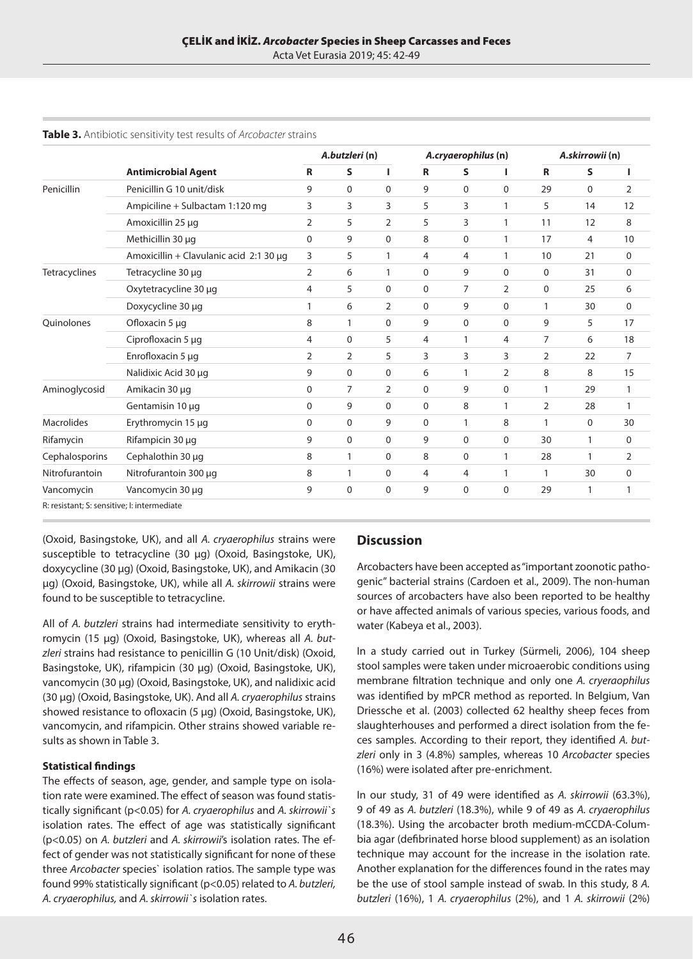Acta Vet Eurasia 2019; 45: 42-49

|                                             | <b>Antimicrobial Agent</b>              | A.butzleri (n) |              |                | A.cryaerophilus (n) |                |                | A.skirrowii (n) |              |                |
|---------------------------------------------|-----------------------------------------|----------------|--------------|----------------|---------------------|----------------|----------------|-----------------|--------------|----------------|
|                                             |                                         | $\mathbf R$    | S            | т              | $\mathsf{R}$        | S              |                | $\mathsf{R}$    | S            | L              |
| Penicillin                                  | Penicillin G 10 unit/disk               | 9              | $\mathbf 0$  | $\mathbf 0$    | 9                   | $\mathbf 0$    | $\mathbf{0}$   | 29              | $\mathbf{0}$ | $\overline{2}$ |
|                                             | Ampiciline + Sulbactam 1:120 mg         | 3              | 3            | 3              | 5                   | 3              | 1              | 5               | 14           | 12             |
|                                             | Amoxicillin 25 µq                       | $\overline{2}$ | 5            | $\overline{2}$ | 5                   | 3              | 1              | 11              | 12           | 8              |
|                                             | Methicillin 30 µg                       | $\Omega$       | 9            | $\mathbf 0$    | 8                   | $\mathbf 0$    | 1              | 17              | 4            | 10             |
|                                             | Amoxicillin + Clavulanic acid 2:1 30 µg | 3              | 5            | $\mathbf{1}$   | 4                   | 4              | $\mathbf{1}$   | 10              | 21           | 0              |
| Tetracyclines                               | Tetracycline 30 µg                      | $\overline{2}$ | 6            | 1              | $\mathbf 0$         | 9              | $\Omega$       | 0               | 31           | $\mathbf 0$    |
|                                             | Oxytetracycline 30 µg                   | 4              | 5            | $\mathbf 0$    | $\mathbf 0$         | $\overline{7}$ | $\overline{2}$ | 0               | 25           | 6              |
|                                             | Doxycycline 30 µg                       |                | 6            | 2              | $\mathbf 0$         | 9              | 0              | $\mathbf{1}$    | 30           | $\mathbf 0$    |
| Quinolones                                  | Ofloxacin 5 µq                          | 8              | $\mathbf{1}$ | $\Omega$       | 9                   | $\mathbf 0$    | $\mathbf{0}$   | 9               | 5            | 17             |
|                                             | Ciprofloxacin 5 µg                      | 4              | 0            | 5              | 4                   | 1              | 4              | 7               | 6            | 18             |
|                                             | Enrofloxacin 5 µg                       | $\overline{2}$ | 2            | 5              | 3                   | 3              | 3              | $\overline{2}$  | 22           | 7              |
|                                             | Nalidixic Acid 30 µg                    | 9              | $\mathbf 0$  | 0              | 6                   | 1              | $\overline{2}$ | 8               | 8            | 15             |
| Aminoglycosid                               | Amikacin 30 µg                          | 0              | 7            | 2              | 0                   | 9              | 0              | 1               | 29           | 1              |
|                                             | Gentamisin 10 µg                        | 0              | 9            | $\mathbf 0$    | $\mathbf 0$         | 8              | $\mathbf{1}$   | 2               | 28           | 1              |
| <b>Macrolides</b>                           | Erythromycin 15 µg                      | $\Omega$       | 0            | 9              | $\Omega$            | $\mathbf{1}$   | 8              | $\mathbf{1}$    | $\mathbf 0$  | 30             |
| Rifamycin                                   | Rifampicin 30 µg                        | 9              | $\Omega$     | $\mathbf 0$    | 9                   | $\mathbf 0$    | $\Omega$       | 30              | 1            | $\mathbf 0$    |
| Cephalosporins                              | Cephalothin 30 µq                       | 8              | 1            | $\mathbf 0$    | 8                   | $\mathbf 0$    | $\mathbf{1}$   | 28              | $\mathbf{1}$ | $\overline{2}$ |
| Nitrofurantoin                              | Nitrofurantoin 300 µg                   | 8              | 1            | $\mathbf 0$    | 4                   | $\overline{4}$ | 1              | 1               | 30           | $\mathbf 0$    |
| Vancomycin                                  | Vancomycin 30 µg                        | 9              | $\Omega$     | $\mathbf 0$    | 9                   | $\mathbf 0$    | 0              | 29              | $\mathbf{1}$ | 1              |
| R: resistant; S: sensitive; I: intermediate |                                         |                |              |                |                     |                |                |                 |              |                |

#### **Table 3.** Antibiotic sensitivity test results of *Arcobacter* strains

(Oxoid, Basingstoke, UK), and all *A. cryaerophilus* strains were susceptible to tetracycline (30 µg) (Oxoid, Basingstoke, UK), doxycycline (30 µg) (Oxoid, Basingstoke, UK), and Amikacin (30 µg) (Oxoid, Basingstoke, UK), while all *A. skirrowii* strains were found to be susceptible to tetracycline.

All of *A. butzleri* strains had intermediate sensitivity to erythromycin (15 µg) (Oxoid, Basingstoke, UK), whereas all *A. butzleri* strains had resistance to penicillin G (10 Unit/disk) (Oxoid, Basingstoke, UK), rifampicin (30 µg) (Oxoid, Basingstoke, UK), vancomycin (30 µg) (Oxoid, Basingstoke, UK), and nalidixic acid (30 µg) (Oxoid, Basingstoke, UK). And all *A. cryaerophilus* strains showed resistance to ofloxacin (5 µg) (Oxoid, Basingstoke, UK), vancomycin, and rifampicin. Other strains showed variable results as shown in Table 3.

#### **Statistical findings**

The effects of season, age, gender, and sample type on isolation rate were examined. The effect of season was found statistically significant (p<0.05) for *A. cryaerophilus* and *A. skirrowii`s* isolation rates. The effect of age was statistically significant (p<0.05) on *A. butzleri* and *A. skirrowii*'s isolation rates. The effect of gender was not statistically significant for none of these three *Arcobacter* species` isolation ratios. The sample type was found 99% statistically significant (p<0.05) related to *A. butzleri, A. cryaerophilus,* and *A. skirrowii`s* isolation rates.

## **Discussion**

Arcobacters have been accepted as "important zoonotic pathogenic" bacterial strains (Cardoen et al., 2009). The non-human sources of arcobacters have also been reported to be healthy or have affected animals of various species, various foods, and water (Kabeya et al., 2003).

In a study carried out in Turkey (Sürmeli, 2006), 104 sheep stool samples were taken under microaerobic conditions using membrane filtration technique and only one *A. cryeraophilus* was identified by mPCR method as reported. In Belgium, Van Driessche et al. (2003) collected 62 healthy sheep feces from slaughterhouses and performed a direct isolation from the feces samples. According to their report, they identified *A. butzleri* only in 3 (4.8%) samples, whereas 10 *Arcobacter* species (16%) were isolated after pre-enrichment.

In our study, 31 of 49 were identified as *A. skirrowii* (63.3%), 9 of 49 as *A. butzleri* (18.3%), while 9 of 49 as *A. cryaerophilus* (18.3%). Using the arcobacter broth medium-mCCDA-Columbia agar (defibrinated horse blood supplement) as an isolation technique may account for the increase in the isolation rate. Another explanation for the differences found in the rates may be the use of stool sample instead of swab. In this study, 8 *A. butzleri* (16%), 1 *A. cryaerophilus* (2%), and 1 *A. skirrowii* (2%)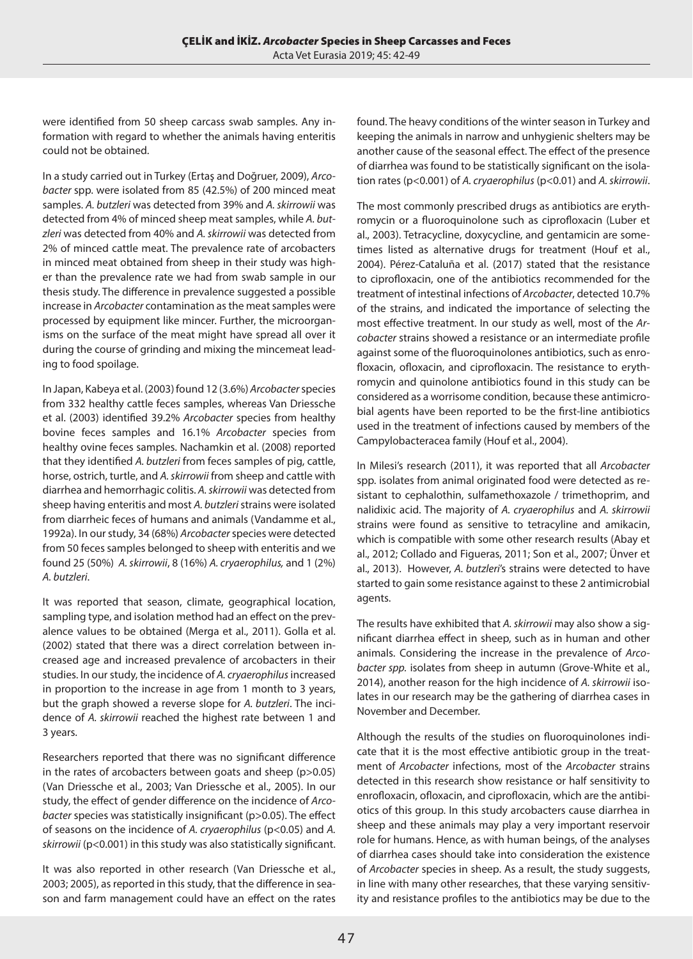were identified from 50 sheep carcass swab samples. Any information with regard to whether the animals having enteritis could not be obtained.

In a study carried out in Turkey (Ertaş and Doğruer, 2009), *Arcobacter* spp. were isolated from 85 (42.5%) of 200 minced meat samples. *A. butzleri* was detected from 39% and *A. skirrowii* was detected from 4% of minced sheep meat samples, while *A. butzleri* was detected from 40% and *A. skirrowii* was detected from 2% of minced cattle meat. The prevalence rate of arcobacters in minced meat obtained from sheep in their study was higher than the prevalence rate we had from swab sample in our thesis study. The difference in prevalence suggested a possible increase in *Arcobacter* contamination as the meat samples were processed by equipment like mincer. Further, the microorganisms on the surface of the meat might have spread all over it during the course of grinding and mixing the mincemeat leading to food spoilage.

In Japan, Kabeya et al. (2003) found 12 (3.6%) *Arcobacter* species from 332 healthy cattle feces samples, whereas Van Driessche et al. (2003) identified 39.2% *Arcobacter* species from healthy bovine feces samples and 16.1% *Arcobacter* species from healthy ovine feces samples. Nachamkin et al. (2008) reported that they identified *A. butzleri* from feces samples of pig, cattle, horse, ostrich, turtle, and *A. skirrowii* from sheep and cattle with diarrhea and hemorrhagic colitis. *A. skirrowii* was detected from sheep having enteritis and most *A. butzleri* strains were isolated from diarrheic feces of humans and animals (Vandamme et al., 1992a). In our study, 34 (68%) *Arcobacter* species were detected from 50 feces samples belonged to sheep with enteritis and we found 25 (50%) *A. skirrowii*, 8 (16%) *A. cryaerophilus,* and 1 (2%) *A. butzleri*.

It was reported that season, climate, geographical location, sampling type, and isolation method had an effect on the prevalence values to be obtained (Merga et al., 2011). Golla et al. (2002) stated that there was a direct correlation between increased age and increased prevalence of arcobacters in their studies. In our study, the incidence of *A. cryaerophilus* increased in proportion to the increase in age from 1 month to 3 years, but the graph showed a reverse slope for *A. butzleri*. The incidence of *A. skirrowii* reached the highest rate between 1 and 3 years.

Researchers reported that there was no significant difference in the rates of arcobacters between goats and sheep (p>0.05) (Van Driessche et al., 2003; Van Driessche et al., 2005). In our study, the effect of gender difference on the incidence of *Arcobacter* species was statistically insignificant (p>0.05). The effect of seasons on the incidence of *A. cryaerophilus* (p<0.05) and *A. skirrowii* (p<0.001) in this study was also statistically significant.

It was also reported in other research (Van Driessche et al., 2003; 2005), as reported in this study, that the difference in season and farm management could have an effect on the rates found. The heavy conditions of the winter season in Turkey and keeping the animals in narrow and unhygienic shelters may be another cause of the seasonal effect. The effect of the presence of diarrhea was found to be statistically significant on the isolation rates (p<0.001) of *A. cryaerophilus* (p<0.01) and *A. skirrowii*.

The most commonly prescribed drugs as antibiotics are erythromycin or a fluoroquinolone such as ciprofloxacin (Luber et al., 2003). Tetracycline, doxycycline, and gentamicin are sometimes listed as alternative drugs for treatment (Houf et al., 2004). Pérez-Cataluña et al. (2017) stated that the resistance to ciprofloxacin, one of the antibiotics recommended for the treatment of intestinal infections of *Arcobacter*, detected 10.7% of the strains, and indicated the importance of selecting the most effective treatment. In our study as well, most of the *Arcobacter* strains showed a resistance or an intermediate profile against some of the fluoroquinolones antibiotics, such as enrofloxacin, ofloxacin, and ciprofloxacin. The resistance to erythromycin and quinolone antibiotics found in this study can be considered as a worrisome condition, because these antimicrobial agents have been reported to be the first-line antibiotics used in the treatment of infections caused by members of the Campylobacteracea family (Houf et al., 2004).

In Milesi's research (2011), it was reported that all *Arcobacter* spp. isolates from animal originated food were detected as resistant to cephalothin, sulfamethoxazole / trimethoprim, and nalidixic acid. The majority of *A. cryaerophilus* and *A. skirrowii* strains were found as sensitive to tetracyline and amikacin, which is compatible with some other research results (Abay et al., 2012; Collado and Figueras, 2011; Son et al., 2007; Ünver et al., 2013). However, *A. butzleri*'s strains were detected to have started to gain some resistance against to these 2 antimicrobial agents.

The results have exhibited that *A. skirrowii* may also show a significant diarrhea effect in sheep, such as in human and other animals. Considering the increase in the prevalence of *Arcobacter spp.* isolates from sheep in autumn (Grove-White et al., 2014), another reason for the high incidence of *A. skirrowii* isolates in our research may be the gathering of diarrhea cases in November and December.

Although the results of the studies on fluoroquinolones indicate that it is the most effective antibiotic group in the treatment of *Arcobacter* infections, most of the *Arcobacter* strains detected in this research show resistance or half sensitivity to enrofloxacin, ofloxacin, and ciprofloxacin, which are the antibiotics of this group. In this study arcobacters cause diarrhea in sheep and these animals may play a very important reservoir role for humans. Hence, as with human beings, of the analyses of diarrhea cases should take into consideration the existence of *Arcobacter* species in sheep. As a result, the study suggests, in line with many other researches, that these varying sensitivity and resistance profiles to the antibiotics may be due to the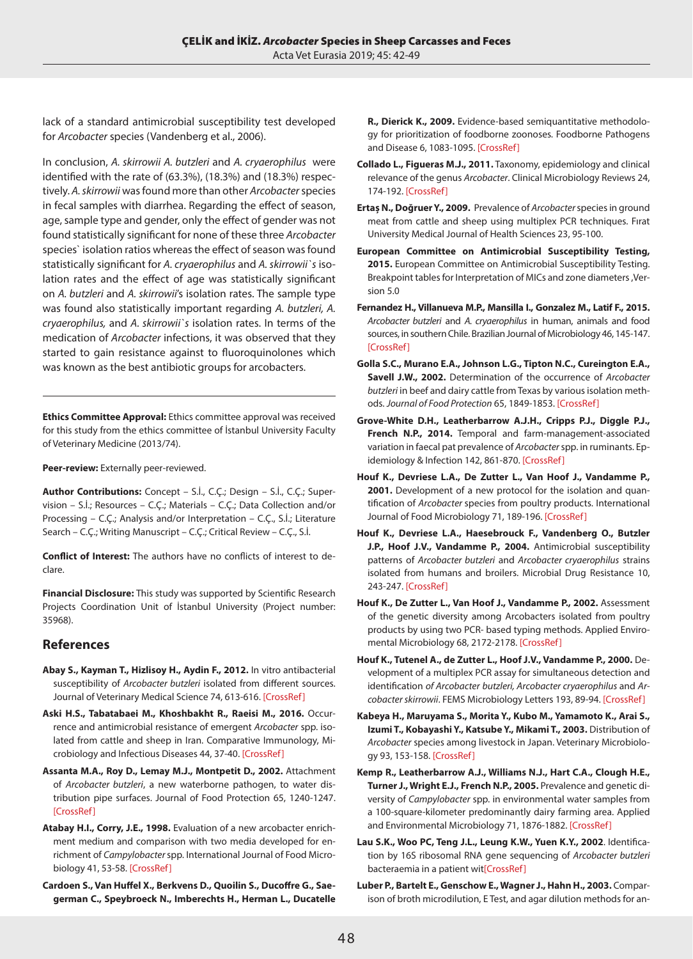lack of a standard antimicrobial susceptibility test developed for *Arcobacter* species (Vandenberg et al., 2006).

In conclusion, *A. skirrowii A. butzleri* and *A. cryaerophilus* were identified with the rate of (63.3%), (18.3%) and (18.3%) respectively. *A. skirrowii* was found more than other *Arcobacter* species in fecal samples with diarrhea. Regarding the effect of season, age, sample type and gender, only the effect of gender was not found statistically significant for none of these three *Arcobacter* species` isolation ratios whereas the effect of season was found statistically significant for *A. cryaerophilus* and *A. skirrowii`s* isolation rates and the effect of age was statistically significant on *A. butzleri* and *A. skirrowii*'s isolation rates. The sample type was found also statistically important regarding *A. butzleri, A. cryaerophilus,* and *A. skirrowii`s* isolation rates. In terms of the medication of *Arcobacter* infections, it was observed that they started to gain resistance against to fluoroquinolones which was known as the best antibiotic groups for arcobacters.

**Ethics Committee Approval:** Ethics committee approval was received for this study from the ethics committee of İstanbul University Faculty of Veterinary Medicine (2013/74).

**Peer-review:** Externally peer-reviewed.

**Author Contributions:** Concept – S.İ., C.Ç.; Design – S.İ., C.Ç.; Supervision – S.İ.; Resources – C.Ç.; Materials – C.Ç.; Data Collection and/or Processing – C.Ç.; Analysis and/or Interpretation – C.Ç., S.İ.; Literature Search – C.Ç.; Writing Manuscript – C.Ç.; Critical Review – C.Ç., S.İ.

**Conflict of Interest:** The authors have no conflicts of interest to declare.

**Financial Disclosure:** This study was supported by Scientific Research Projects Coordination Unit of İstanbul University (Project number: 35968).

# **References**

- **Abay S., Kayman T., Hizlisoy H., Aydin F., 2012.** In vitro antibacterial susceptibility of *Arcobacter butzleri* isolated from different sources. Journal of Veterinary Medical Science 74, 613-616. [\[CrossRef](https://doi.org/10.1292/jvms.11-0487)]
- **Aski H.S., Tabatabaei M., Khoshbakht R., Raeisi M., 2016.** Occurrence and antimicrobial resistance of emergent *Arcobacter* spp. isolated from cattle and sheep in Iran. Comparative Immunology, Microbiology and Infectious Diseases 44, 37-40. [\[CrossRef\]](https://doi.org/10.1016/j.cimid.2015.12.002)
- **Assanta M.A., Roy D., Lemay M.J., Montpetit D., 2002.** Attachment of *Arcobacter butzleri*, a new waterborne pathogen, to water distribution pipe surfaces. Journal of Food Protection 65, 1240-1247. [[CrossRef](https://doi.org/10.4315/0362-028X-65.8.1240)]
- **Atabay H.I., Corry, J.E., 1998.** Evaluation of a new arcobacter enrichment medium and comparison with two media developed for enrichment of *Campylobacter* spp. International Journal of Food Microbiology 41, 53-58. [[CrossRef\]](https://doi.org/10.1016/S0168-1605(98)00034-8)
- **Cardoen S., Van Huffel X., Berkvens D., Quoilin S., Ducoffre G., Saegerman C., Speybroeck N., Imberechts H., Herman L., Ducatelle**

**R., Dierick K., 2009.** Evidence-based semiquantitative methodology for prioritization of foodborne zoonoses*.* Foodborne Pathogens and Disease 6, 1083-1095. [\[CrossRef\]](https://doi.org/10.1089/fpd.2009.0291)

- **Collado L., Figueras M.J., 2011.** Taxonomy, epidemiology and clinical relevance of the genus *Arcobacter*. Clinical Microbiology Reviews 24, 174-192. [\[CrossRef](https://doi.org/10.1128/CMR.00034-10)]
- **Ertaș N., Doğruer Y., 2009.** Prevalence of *Arcobacter* species in ground meat from cattle and sheep using multiplex PCR techniques. Fırat University Medical Journal of Health Sciences 23, 95-100.
- **European Committee on Antimicrobial Susceptibility Testing, 2015.** European Committee on Antimicrobial Susceptibility Testing. Breakpoint tables for Interpretation of MICs and zone diameters ,Version 5.0
- **Fernandez H., Villanueva M.P., Mansilla I., Gonzalez M., Latif F., 2015.** *Arcobacter butzleri* and *A. cryaerophilus* in human, animals and food sources, in southern Chile. Brazilian Journal of Microbiology 46, 145-147. [[CrossRef\]](https://doi.org/10.1590/S1517-838246120140095)
- **Golla S.C., Murano E.A., Johnson L.G., Tipton N.C., Cureington E.A., Savell J.W., 2002.** Determination of the occurrence of *Arcobacter butzleri* in beef and dairy cattle from Texas by various isolation methods. *Journal of Food Protection* 65, 1849-1853. [[CrossRef](https://doi.org/10.4315/0362-028X-65.12.1849)]
- **Grove-White D.H., Leatherbarrow A.J.H., Cripps P.J., Diggle P.J., French N.P., 2014.** Temporal and farm-management-associated variation in faecal pat prevalence of *Arcobacter* spp. in ruminants. Epidemiology & Infection 142, 861-870. [\[CrossRef\]](https://doi.org/10.1017/S095026881300160X)
- **Houf K., Devriese L.A., De Zutter L., Van Hoof J., Vandamme P., 2001.** Development of a new protocol for the isolation and quantification of *Arcobacter* species from poultry products. International Journal of Food Microbiology 71, 189-196. [[CrossRef](https://doi.org/10.1016/S0168-1605(01)00605-5)]
- **Houf K., Devriese L.A., Haesebrouck F., Vandenberg O., Butzler J.P., Hoof J.V., Vandamme P., 2004.** Antimicrobial susceptibility patterns of *Arcobacter butzleri* and *Arcobacter cryaerophilus* strains isolated from humans and broilers. Microbial Drug Resistance 10, 243-247. [\[CrossRef](https://doi.org/10.1089/mdr.2004.10.243)]
- **Houf K., De Zutter L., Van Hoof J., Vandamme P., 2002.** Assessment of the genetic diversity among Arcobacters isolated from poultry products by using two PCR- based typing methods. Applied Enviromental Microbiology 68, 2172-2178. [[CrossRef](https://doi.org/10.1128/AEM.68.5.2172-2178.2002)]
- **Houf K., Tutenel A., de Zutter L., Hoof J.V., Vandamme P., 2000.** Development of a multiplex PCR assay for simultaneous detection and identification *of Arcobacter butzleri, Arcobacter cryaerophilus* and *Arcobacter skirrowii*. FEMS Microbiology Letters 193, 89-94. [\[CrossRef\]](https://doi.org/10.1111/j.1574-6968.2000.tb09407.x)
- **Kabeya H., Maruyama S., Morita Y., Kubo M., Yamamoto K., Arai S., Izumi T., Kobayashi Y., Katsube Y., Mikami T., 2003.** Distribution of *Arcobacter* species among livestock in Japan. Veterinary Microbiology 93, 153-158. [\[CrossRef\]](https://doi.org/10.1016/S0378-1135(02)00312-7)
- **Kemp R., Leatherbarrow A.J., Williams N.J., Hart C.A., Clough H.E., Turner J., Wright E.J., French N.P., 2005.** Prevalence and genetic diversity of *Campylobacter* spp. in environmental water samples from a 100-square-kilometer predominantly dairy farming area. Applied and Environmental Microbiology 71, 1876-1882. [[CrossRef](https://doi.org/10.1128/AEM.71.4.1876-1882.2005)]
- **Lau S.K., Woo PC, Teng J.L., Leung K.W., Yuen K.Y., 2002**. Identification by 16S ribosomal RNA gene sequencing of *Arcobacter butzleri* bacteraemia in a patient wit<sup>[\[CrossRef\]](https://doi.org/10.1136/mp.55.3.182)</sup>
- **Luber P., Bartelt E., Genschow E., Wagner J., Hahn H., 2003.** Comparison of broth microdilution, E Test, and agar dilution methods for an-